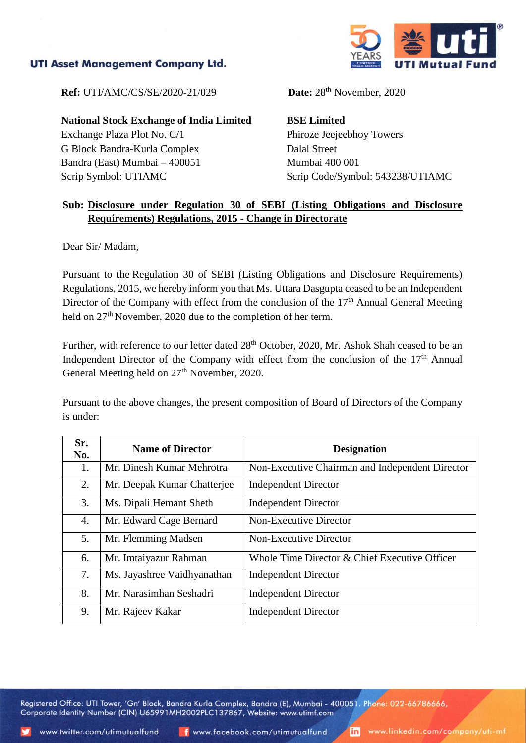## **UTI Asset Management Company Ltd.**



**Ref:** UTI/AMC/CS/SE/2020-21/029

**National Stock Exchange of India Limited** Exchange Plaza Plot No. C/1 G Block Bandra-Kurla Complex Bandra (East) Mumbai – 400051 Scrip Symbol: UTIAMC

Date:  $28<sup>th</sup>$  November, 2020

**BSE Limited** Phiroze Jeejeebhoy Towers Dalal Street Mumbai 400 001 Scrip Code/Symbol: 543238/UTIAMC

## **Sub: Disclosure under Regulation 30 of SEBI (Listing Obligations and Disclosure Requirements) Regulations, 2015 - Change in Directorate**

Dear Sir/ Madam,

Pursuant to the Regulation 30 of SEBI (Listing Obligations and Disclosure Requirements) Regulations, 2015, we hereby inform you that Ms. Uttara Dasgupta ceased to be an Independent Director of the Company with effect from the conclusion of the  $17<sup>th</sup>$  Annual General Meeting held on 27<sup>th</sup> November, 2020 due to the completion of her term.

Further, with reference to our letter dated 28<sup>th</sup> October, 2020, Mr. Ashok Shah ceased to be an Independent Director of the Company with effect from the conclusion of the  $17<sup>th</sup>$  Annual General Meeting held on  $27<sup>th</sup>$  November, 2020.

Pursuant to the above changes, the present composition of Board of Directors of the Company is under:

| Sr.<br>No. | <b>Name of Director</b>     | <b>Designation</b>                              |
|------------|-----------------------------|-------------------------------------------------|
| 1.         | Mr. Dinesh Kumar Mehrotra   | Non-Executive Chairman and Independent Director |
| 2.         | Mr. Deepak Kumar Chatterjee | <b>Independent Director</b>                     |
| 3.         | Ms. Dipali Hemant Sheth     | <b>Independent Director</b>                     |
| 4.         | Mr. Edward Cage Bernard     | Non-Executive Director                          |
| 5.         | Mr. Flemming Madsen         | Non-Executive Director                          |
| 6.         | Mr. Imtaiyazur Rahman       | Whole Time Director & Chief Executive Officer   |
| 7.         | Ms. Jayashree Vaidhyanathan | <b>Independent Director</b>                     |
| 8.         | Mr. Narasimhan Seshadri     | <b>Independent Director</b>                     |
| 9.         | Mr. Rajeev Kakar            | <b>Independent Director</b>                     |

Registered Office: UTI Tower, 'Gn' Block, Bandra Kurla Complex, Bandra (E), Mumbai - 400051. Phone: 022-66786666, Corporate Identity Number (CIN) U65991MH2002PLC137867, Website: www.utimf.com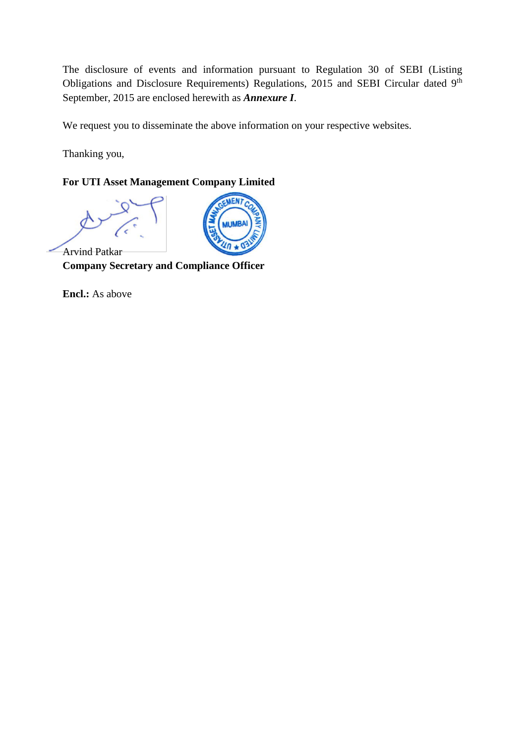The disclosure of events and information pursuant to Regulation 30 of SEBI (Listing Obligations and Disclosure Requirements) Regulations, 2015 and SEBI Circular dated 9<sup>th</sup> September, 2015 are enclosed herewith as *Annexure I*.

We request you to disseminate the above information on your respective websites.

Thanking you,

## **For UTI Asset Management Company Limited**



Arvind Patkar **Company Secretary and Compliance Officer**

**Encl.:** As above